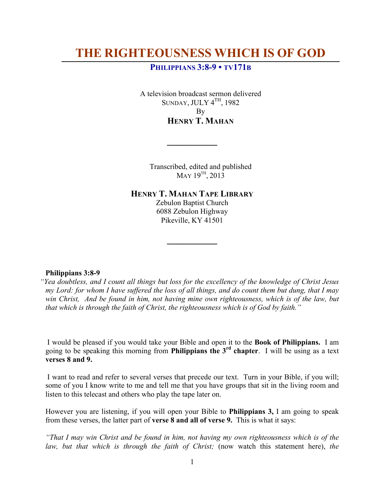# **THE RIGHTEOUSNESS WHICH IS OF GOD**

# **PHILIPPIANS 3:8-9 • TV171B**

A television broadcast sermon delivered SUNDAY, JULY  $4<sup>TH</sup>$ , 1982 By **HENRY T. MAHAN**

Transcribed, edited and published  $MAY$  19<sup>TH</sup>, 2013

**HENRY T. MAHAN TAPE LIBRARY**

**\_\_\_\_\_\_\_\_\_\_**

Zebulon Baptist Church 6088 Zebulon Highway Pikeville, KY 41501

**\_\_\_\_\_\_\_\_\_\_**

# **Philippians 3:8-9**

*"Yea doubtless, and I count all things but loss for the excellency of the knowledge of Christ Jesus my Lord: for whom I have suffered the loss of all things, and do count them but dung, that I may win Christ, And be found in him, not having mine own righteousness, which is of the law, but that which is through the faith of Christ, the righteousness which is of God by faith."*

I would be pleased if you would take your Bible and open it to the **Book of Philippians.** I am going to be speaking this morning from **Philippians the 3rd chapter**. I will be using as a text **verses 8 and 9.** 

I want to read and refer to several verses that precede our text. Turn in your Bible, if you will; some of you I know write to me and tell me that you have groups that sit in the living room and listen to this telecast and others who play the tape later on.

However you are listening, if you will open your Bible to **Philippians 3,** I am going to speak from these verses, the latter part of **verse 8 and all of verse 9.** This is what it says:

*"That I may win Christ and be found in him, not having my own righteousness which is of the law, but that which is through the faith of Christ;* (now watch this statement here), *the*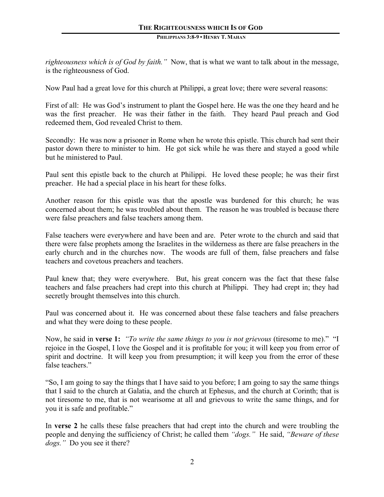*righteousness which is of God by faith."* Now, that is what we want to talk about in the message, is the righteousness of God.

Now Paul had a great love for this church at Philippi, a great love; there were several reasons:

First of all: He was God's instrument to plant the Gospel here. He was the one they heard and he was the first preacher. He was their father in the faith. They heard Paul preach and God redeemed them, God revealed Christ to them.

Secondly: He was now a prisoner in Rome when he wrote this epistle. This church had sent their pastor down there to minister to him. He got sick while he was there and stayed a good while but he ministered to Paul.

Paul sent this epistle back to the church at Philippi. He loved these people; he was their first preacher. He had a special place in his heart for these folks.

Another reason for this epistle was that the apostle was burdened for this church; he was concerned about them; he was troubled about them. The reason he was troubled is because there were false preachers and false teachers among them.

False teachers were everywhere and have been and are. Peter wrote to the church and said that there were false prophets among the Israelites in the wilderness as there are false preachers in the early church and in the churches now. The woods are full of them, false preachers and false teachers and covetous preachers and teachers.

Paul knew that; they were everywhere. But, his great concern was the fact that these false teachers and false preachers had crept into this church at Philippi. They had crept in; they had secretly brought themselves into this church.

Paul was concerned about it. He was concerned about these false teachers and false preachers and what they were doing to these people.

Now, he said in **verse 1:** *"To write the same things to you is not grievous* (tiresome to me).""I rejoice in the Gospel, I love the Gospel and it is profitable for you; it will keep you from error of spirit and doctrine. It will keep you from presumption; it will keep you from the error of these false teachers."

"So, I am going to say the things that I have said to you before; I am going to say the same things that I said to the church at Galatia, and the church at Ephesus, and the church at Corinth; that is not tiresome to me, that is not wearisome at all and grievous to write the same things, and for you it is safe and profitable."

In **verse 2** he calls these false preachers that had crept into the church and were troubling the people and denying the sufficiency of Christ; he called them *"dogs."* He said, *"Beware of these dogs."* Do you see it there?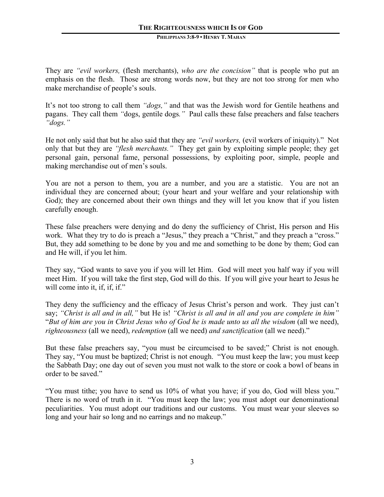They are *"evil workers,* (flesh merchants), *who are the concision"* that is people who put an emphasis on the flesh. Those are strong words now, but they are not too strong for men who make merchandise of people's souls.

It's not too strong to call them *"dogs,"* and that was the Jewish word for Gentile heathens and pagans. They call them *"*dogs, gentile dogs*."* Paul calls these false preachers and false teachers *"dogs."*

He not only said that but he also said that they are *"evil workers,* (evil workers of iniquity)." Not only that but they are *"flesh merchants."* They get gain by exploiting simple people; they get personal gain, personal fame, personal possessions, by exploiting poor, simple, people and making merchandise out of men's souls.

You are not a person to them, you are a number, and you are a statistic. You are not an individual they are concerned about; (your heart and your welfare and your relationship with God); they are concerned about their own things and they will let you know that if you listen carefully enough.

These false preachers were denying and do deny the sufficiency of Christ, His person and His work. What they try to do is preach a "Jesus," they preach a "Christ," and they preach a "cross." But, they add something to be done by you and me and something to be done by them; God can and He will, if you let him.

They say, "God wants to save you if you will let Him. God will meet you half way if you will meet Him. If you will take the first step, God will do this. If you will give your heart to Jesus he will come into it, if, if, if."

They deny the sufficiency and the efficacy of Jesus Christ's person and work. They just can't say; *"Christ is all and in all,"* but He is! *"Christ is all and in all and you are complete in him"*  "*But of him are you in Christ Jesus who of God he is made unto us all the wisdom* (all we need), *righteousness* (all we need), *redemption* (all we need) *and sanctification* (all we need)."

But these false preachers say, "you must be circumcised to be saved;" Christ is not enough. They say, "You must be baptized; Christ is not enough. "You must keep the law; you must keep the Sabbath Day; one day out of seven you must not walk to the store or cook a bowl of beans in order to be saved."

"You must tithe; you have to send us 10% of what you have; if you do, God will bless you." There is no word of truth in it. "You must keep the law; you must adopt our denominational peculiarities. You must adopt our traditions and our customs. You must wear your sleeves so long and your hair so long and no earrings and no makeup."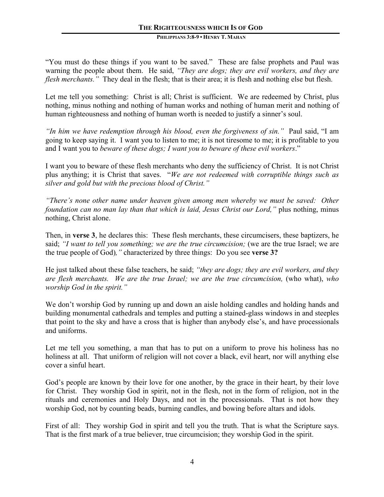"You must do these things if you want to be saved." These are false prophets and Paul was warning the people about them. He said, *"They are dogs; they are evil workers, and they are flesh merchants."* They deal in the flesh; that is their area; it is flesh and nothing else but flesh.

Let me tell you something: Christ is all; Christ is sufficient. We are redeemed by Christ, plus nothing, minus nothing and nothing of human works and nothing of human merit and nothing of human righteousness and nothing of human worth is needed to justify a sinner's soul.

*"In him we have redemption through his blood, even the forgiveness of sin."* Paul said, "I am going to keep saying it. I want you to listen to me; it is not tiresome to me; it is profitable to you and I want you to *beware of these dogs; I want you to beware of these evil workers*."

I want you to beware of these flesh merchants who deny the sufficiency of Christ. It is not Christ plus anything; it is Christ that saves. "*We are not redeemed with corruptible things such as silver and gold but with the precious blood of Christ."*

*"There's none other name under heaven given among men whereby we must be saved: Other foundation can no man lay than that which is laid, Jesus Christ our Lord,"* plus nothing, minus nothing, Christ alone.

Then, in **verse 3**, he declares this: These flesh merchants, these circumcisers, these baptizers, he said; "I want to tell you something; we are the true circumcision; (we are the true Israel; we are the true people of God)*,"* characterized by three things: Do you see **verse 3?**

He just talked about these false teachers, he said; *"they are dogs; they are evil workers, and they are flesh merchants. We are the true Israel; we are the true circumcision,* (who what), *who worship God in the spirit."*

We don't worship God by running up and down an aisle holding candles and holding hands and building monumental cathedrals and temples and putting a stained-glass windows in and steeples that point to the sky and have a cross that is higher than anybody else's, and have processionals and uniforms.

Let me tell you something, a man that has to put on a uniform to prove his holiness has no holiness at all. That uniform of religion will not cover a black, evil heart, nor will anything else cover a sinful heart.

God's people are known by their love for one another, by the grace in their heart, by their love for Christ. They worship God in spirit, not in the flesh, not in the form of religion, not in the rituals and ceremonies and Holy Days, and not in the processionals. That is not how they worship God, not by counting beads, burning candles, and bowing before altars and idols.

First of all: They worship God in spirit and tell you the truth. That is what the Scripture says. That is the first mark of a true believer, true circumcision; they worship God in the spirit.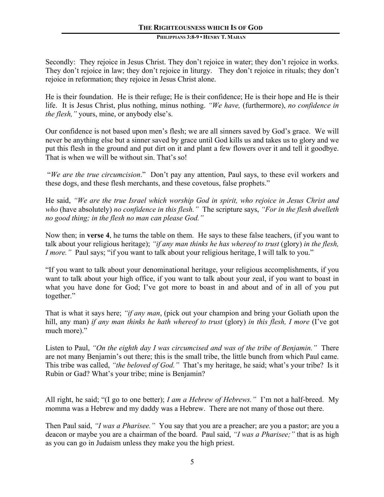Secondly: They rejoice in Jesus Christ. They don't rejoice in water; they don't rejoice in works. They don't rejoice in law; they don't rejoice in liturgy. They don't rejoice in rituals; they don't rejoice in reformation; they rejoice in Jesus Christ alone.

He is their foundation. He is their refuge; He is their confidence; He is their hope and He is their life. It is Jesus Christ, plus nothing, minus nothing. *"We have,* (furthermore), *no confidence in the flesh,"* yours, mine, or anybody else's.

Our confidence is not based upon men's flesh; we are all sinners saved by God's grace. We will never be anything else but a sinner saved by grace until God kills us and takes us to glory and we put this flesh in the ground and put dirt on it and plant a few flowers over it and tell it goodbye. That is when we will be without sin. That's so!

"*We are the true circumcision*." Don't pay any attention, Paul says, to these evil workers and these dogs, and these flesh merchants, and these covetous, false prophets."

He said, *"We are the true Israel which worship God in spirit, who rejoice in Jesus Christ and who* (have absolutely) *no confidence in this flesh."* The scripture says, *"For in the flesh dwelleth no good thing; in the flesh no man can please God."*

Now then; in **verse 4**, he turns the table on them. He says to these false teachers, (if you want to talk about your religious heritage); *"if any man thinks he has whereof to trust* (glory) *in the flesh, I more.*" Paul says; "if you want to talk about your religious heritage, I will talk to you."

"If you want to talk about your denominational heritage, your religious accomplishments, if you want to talk about your high office, if you want to talk about your zeal, if you want to boast in what you have done for God; I've got more to boast in and about and of in all of you put together."

That is what it says here; *"if any man*, (pick out your champion and bring your Goliath upon the hill, any man) *if any man thinks he hath whereof to trust* (glory) *in this flesh, I more* (I've got much more)."

Listen to Paul, *"On the eighth day I was circumcised and was of the tribe of Benjamin."* There are not many Benjamin's out there; this is the small tribe, the little bunch from which Paul came. This tribe was called, *"the beloved of God."* That's my heritage, he said; what's your tribe? Is it Rubin or Gad? What's your tribe; mine is Benjamin?

All right, he said; "(I go to one better); *I am a Hebrew of Hebrews."* I'm not a half-breed. My momma was a Hebrew and my daddy was a Hebrew. There are not many of those out there.

Then Paul said, *"I was a Pharisee."* You say that you are a preacher; are you a pastor; are you a deacon or maybe you are a chairman of the board. Paul said, *"I was a Pharisee;"* that is as high as you can go in Judaism unless they make you the high priest.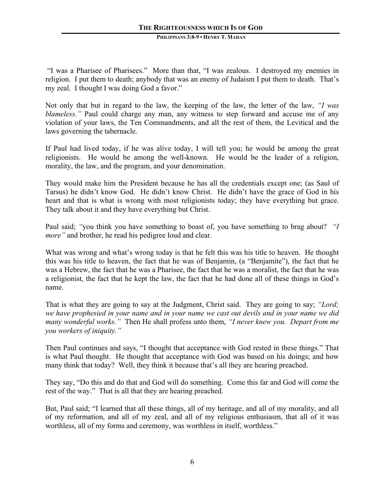"I was a Pharisee of Pharisees." More than that, "I was zealous. I destroyed my enemies in religion. I put them to death; anybody that was an enemy of Judaism I put them to death. That's my zeal. I thought I was doing God a favor."

Not only that but in regard to the law, the keeping of the law, the letter of the law, *"I was blameless.*" Paul could charge any man, any witness to step forward and accuse me of any violation of your laws, the Ten Commandments, and all the rest of them, the Levitical and the laws governing the tabernacle.

If Paul had lived today, if he was alive today, I will tell you; he would be among the great religionists. He would be among the well-known. He would be the leader of a religion, morality, the law, and the program, and your denomination.

They would make him the President because he has all the credentials except one; (as Saul of Tarsus) he didn't know God. He didn't know Christ. He didn't have the grace of God in his heart and that is what is wrong with most religionists today; they have everything but grace. They talk about it and they have everything but Christ.

Paul said; *"*you think you have something to boast of, you have something to brag about? *"I more"* and brother, he read his pedigree loud and clear.

What was wrong and what's wrong today is that he felt this was his title to heaven. He thought this was his title to heaven, the fact that he was of Benjamin, (a "Benjamite"), the fact that he was a Hebrew, the fact that he was a Pharisee, the fact that he was a moralist, the fact that he was a religionist, the fact that he kept the law, the fact that he had done all of these things in God's name.

That is what they are going to say at the Judgment, Christ said. They are going to say; *"Lord; we have prophesied in your name and in your name we cast out devils and in your name we did many wonderful works."* Then He shall profess unto them, *"I never knew you. Depart from me you workers of iniquity."*

Then Paul continues and says, "I thought that acceptance with God rested in these things." That is what Paul thought. He thought that acceptance with God was based on his doings; and how many think that today? Well, they think it because that's all they are hearing preached.

They say, "Do this and do that and God will do something. Come this far and God will come the rest of the way." That is all that they are hearing preached.

But, Paul said; "I learned that all these things, all of my heritage, and all of my morality, and all of my reformation, and all of my zeal, and all of my religious enthusiasm, that all of it was worthless, all of my forms and ceremony, was worthless in itself, worthless."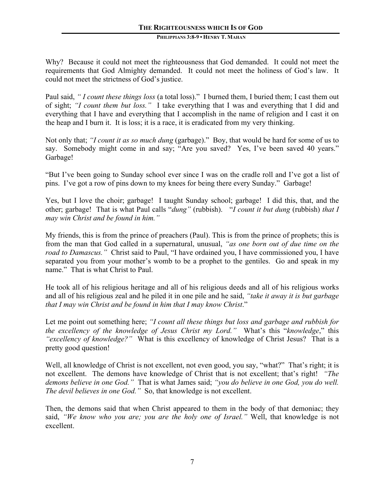Why? Because it could not meet the righteousness that God demanded. It could not meet the requirements that God Almighty demanded. It could not meet the holiness of God's law. It could not meet the strictness of God's justice.

Paul said, *" I count these things loss* (a total loss)." I burned them, I buried them; I cast them out of sight; *"I count them but loss."* I take everything that I was and everything that I did and everything that I have and everything that I accomplish in the name of religion and I cast it on the heap and I burn it. It is loss; it is a race, it is eradicated from my very thinking.

Not only that; *"I count it as so much dung* (garbage)." Boy, that would be hard for some of us to say. Somebody might come in and say; "Are you saved? Yes, I've been saved 40 years." Garbage!

"But I've been going to Sunday school ever since I was on the cradle roll and I've got a list of pins. I've got a row of pins down to my knees for being there every Sunday." Garbage!

Yes, but I love the choir; garbage! I taught Sunday school; garbage! I did this, that, and the other; garbage! That is what Paul calls "*dung"* (rubbish). "*I count it but dung* (rubbish) *that I may win Christ and be found in him."*

My friends, this is from the prince of preachers (Paul). This is from the prince of prophets; this is from the man that God called in a supernatural, unusual, *"as one born out of due time on the road to Damascus."* Christ said to Paul, "I have ordained you, I have commissioned you, I have separated you from your mother's womb to be a prophet to the gentiles. Go and speak in my name." That is what Christ to Paul.

He took all of his religious heritage and all of his religious deeds and all of his religious works and all of his religious zeal and he piled it in one pile and he said, *"take it away it is but garbage that I may win Christ and be found in him that I may know Christ*."

Let me point out something here; *"I count all these things but loss and garbage and rubbish for the excellency of the knowledge of Jesus Christ my Lord."* What's this "*knowledge*," this *"excellency of knowledge?"* What is this excellency of knowledge of Christ Jesus? That is a pretty good question!

Well, all knowledge of Christ is not excellent, not even good, you say, "what?" That's right; it is not excellent. The demons have knowledge of Christ that is not excellent; that's right! *"The demons believe in one God."* That is what James said; *"you do believe in one God, you do well. The devil believes in one God."* So, that knowledge is not excellent.

Then, the demons said that when Christ appeared to them in the body of that demoniac; they said, *"We know who you are; you are the holy one of Israel."* Well, that knowledge is not excellent.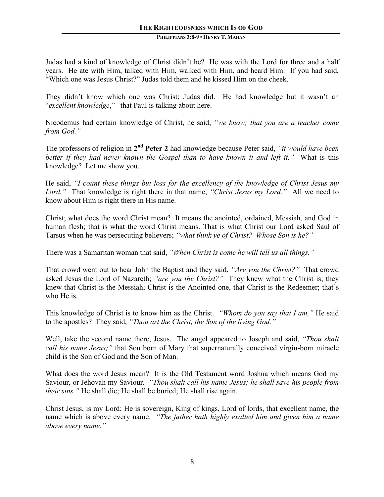Judas had a kind of knowledge of Christ didn't he? He was with the Lord for three and a half years. He ate with Him, talked with Him, walked with Him, and heard Him. If you had said, "Which one was Jesus Christ?" Judas told them and he kissed Him on the cheek.

They didn't know which one was Christ; Judas did. He had knowledge but it wasn't an "*excellent knowledge*," that Paul is talking about here.

Nicodemus had certain knowledge of Christ, he said, *"we know; that you are a teacher come from God."*

The professors of religion in **2nd Peter 2** had knowledge because Peter said, *"it would have been better if they had never known the Gospel than to have known it and left it."* What is this knowledge? Let me show you.

He said, *"I count these things but loss for the excellency of the knowledge of Christ Jesus my Lord."* That knowledge is right there in that name, *"Christ Jesus my Lord."* All we need to know about Him is right there in His name.

Christ; what does the word Christ mean? It means the anointed, ordained, Messiah, and God in human flesh; that is what the word Christ means. That is what Christ our Lord asked Saul of Tarsus when he was persecuting believers; *"what think ye of Christ? Whose Son is he?"*

There was a Samaritan woman that said, *"When Christ is come he will tell us all things."* 

That crowd went out to hear John the Baptist and they said, *"Are you the Christ?"* That crowd asked Jesus the Lord of Nazareth; *"are you the Christ?"* They knew what the Christ is; they knew that Christ is the Messiah; Christ is the Anointed one, that Christ is the Redeemer; that's who He is.

This knowledge of Christ is to know him as the Christ. *"Whom do you say that I am,"* He said to the apostles? They said, *"Thou art the Christ, the Son of the living God."*

Well, take the second name there, Jesus. The angel appeared to Joseph and said, *"Thou shalt call his name Jesus;"* that Son born of Mary that supernaturally conceived virgin-born miracle child is the Son of God and the Son of Man.

What does the word Jesus mean? It is the Old Testament word Joshua which means God my Saviour, or Jehovah my Saviour. *"Thou shalt call his name Jesus; he shall save his people from their sins."* He shall die; He shall be buried; He shall rise again.

Christ Jesus, is my Lord; He is sovereign, King of kings, Lord of lords, that excellent name, the name which is above every name. *"The father hath highly exalted him and given him a name above every name."*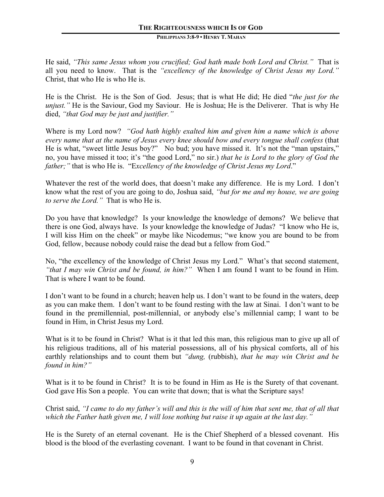He said, *"This same Jesus whom you crucified; God hath made both Lord and Christ."* That is all you need to know. That is the *"excellency of the knowledge of Christ Jesus my Lord."* Christ, that who He is who He is.

He is the Christ. He is the Son of God. Jesus; that is what He did; He died "*the just for the unjust.*" He is the Saviour, God my Saviour. He is Joshua; He is the Deliverer. That is why He died, *"that God may be just and justifier."*

Where is my Lord now? *"God hath highly exalted him and given him a name which is above every name that at the name of Jesus every knee should bow and every tongue shall confess* (that He is what, "sweet little Jesus boy?" No bud; you have missed it. It's not the "man upstairs," no, you have missed it too; it's "the good Lord," no sir.) *that he is Lord to the glory of God the father;"* that is who He is. "E*xcellency of the knowledge of Christ Jesus my Lord*."

Whatever the rest of the world does, that doesn't make any difference. He is my Lord. I don't know what the rest of you are going to do, Joshua said, *"but for me and my house, we are going to serve the Lord."* That is who He is.

Do you have that knowledge? Is your knowledge the knowledge of demons? We believe that there is one God, always have. Is your knowledge the knowledge of Judas? "I know who He is, I will kiss Him on the cheek" or maybe like Nicodemus; "we know you are bound to be from God, fellow, because nobody could raise the dead but a fellow from God."

No, "the excellency of the knowledge of Christ Jesus my Lord." What's that second statement, *"that I may win Christ and be found, in him?"* When I am found I want to be found in Him. That is where I want to be found.

I don't want to be found in a church; heaven help us. I don't want to be found in the waters, deep as you can make them. I don't want to be found resting with the law at Sinai. I don't want to be found in the premillennial, post-millennial, or anybody else's millennial camp; I want to be found in Him, in Christ Jesus my Lord.

What is it to be found in Christ? What is it that led this man, this religious man to give up all of his religious traditions, all of his material possessions, all of his physical comforts, all of his earthly relationships and to count them but *"dung,* (rubbish), *that he may win Christ and be found in him?"*

What is it to be found in Christ? It is to be found in Him as He is the Surety of that covenant. God gave His Son a people. You can write that down; that is what the Scripture says!

Christ said, *"I came to do my father's will and this is the will of him that sent me, that of all that which the Father hath given me, I will lose nothing but raise it up again at the last day."* 

He is the Surety of an eternal covenant. He is the Chief Shepherd of a blessed covenant. His blood is the blood of the everlasting covenant. I want to be found in that covenant in Christ.